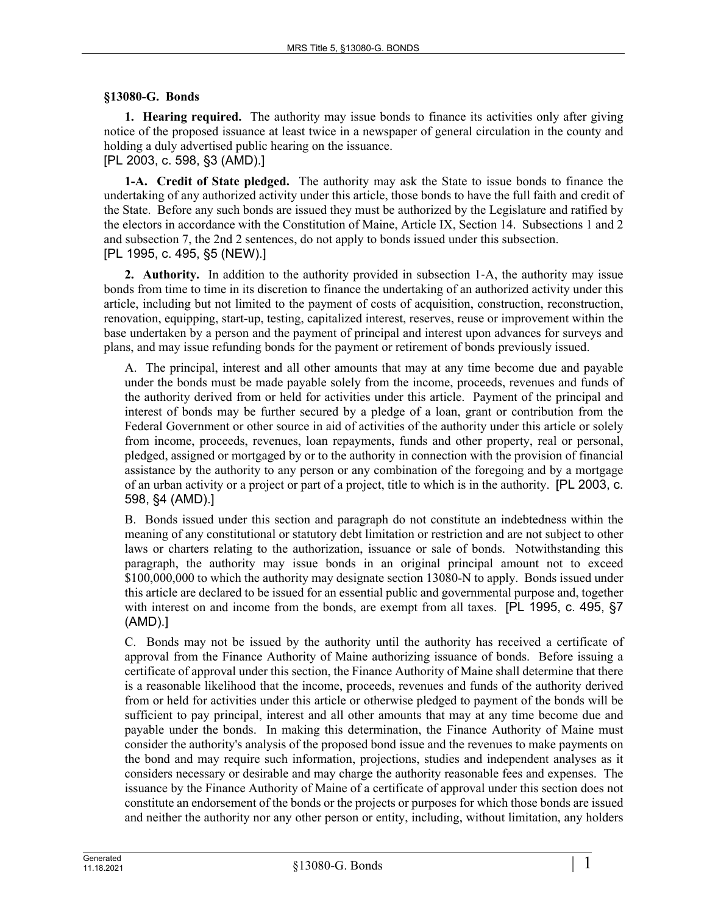## **§13080-G. Bonds**

**1. Hearing required.** The authority may issue bonds to finance its activities only after giving notice of the proposed issuance at least twice in a newspaper of general circulation in the county and holding a duly advertised public hearing on the issuance.

[PL 2003, c. 598, §3 (AMD).]

**1-A. Credit of State pledged.** The authority may ask the State to issue bonds to finance the undertaking of any authorized activity under this article, those bonds to have the full faith and credit of the State. Before any such bonds are issued they must be authorized by the Legislature and ratified by the electors in accordance with the Constitution of Maine, Article IX, Section 14. Subsections 1 and 2 and subsection 7, the 2nd 2 sentences, do not apply to bonds issued under this subsection. [PL 1995, c. 495, §5 (NEW).]

**2. Authority.** In addition to the authority provided in subsection 1‑A, the authority may issue bonds from time to time in its discretion to finance the undertaking of an authorized activity under this article, including but not limited to the payment of costs of acquisition, construction, reconstruction, renovation, equipping, start-up, testing, capitalized interest, reserves, reuse or improvement within the base undertaken by a person and the payment of principal and interest upon advances for surveys and plans, and may issue refunding bonds for the payment or retirement of bonds previously issued.

A. The principal, interest and all other amounts that may at any time become due and payable under the bonds must be made payable solely from the income, proceeds, revenues and funds of the authority derived from or held for activities under this article. Payment of the principal and interest of bonds may be further secured by a pledge of a loan, grant or contribution from the Federal Government or other source in aid of activities of the authority under this article or solely from income, proceeds, revenues, loan repayments, funds and other property, real or personal, pledged, assigned or mortgaged by or to the authority in connection with the provision of financial assistance by the authority to any person or any combination of the foregoing and by a mortgage of an urban activity or a project or part of a project, title to which is in the authority. [PL 2003, c. 598, §4 (AMD).]

B. Bonds issued under this section and paragraph do not constitute an indebtedness within the meaning of any constitutional or statutory debt limitation or restriction and are not subject to other laws or charters relating to the authorization, issuance or sale of bonds. Notwithstanding this paragraph, the authority may issue bonds in an original principal amount not to exceed \$100,000,000 to which the authority may designate section 13080-N to apply. Bonds issued under this article are declared to be issued for an essential public and governmental purpose and, together with interest on and income from the bonds, are exempt from all taxes. [PL 1995, c. 495, §7 (AMD).]

C. Bonds may not be issued by the authority until the authority has received a certificate of approval from the Finance Authority of Maine authorizing issuance of bonds. Before issuing a certificate of approval under this section, the Finance Authority of Maine shall determine that there is a reasonable likelihood that the income, proceeds, revenues and funds of the authority derived from or held for activities under this article or otherwise pledged to payment of the bonds will be sufficient to pay principal, interest and all other amounts that may at any time become due and payable under the bonds. In making this determination, the Finance Authority of Maine must consider the authority's analysis of the proposed bond issue and the revenues to make payments on the bond and may require such information, projections, studies and independent analyses as it considers necessary or desirable and may charge the authority reasonable fees and expenses. The issuance by the Finance Authority of Maine of a certificate of approval under this section does not constitute an endorsement of the bonds or the projects or purposes for which those bonds are issued and neither the authority nor any other person or entity, including, without limitation, any holders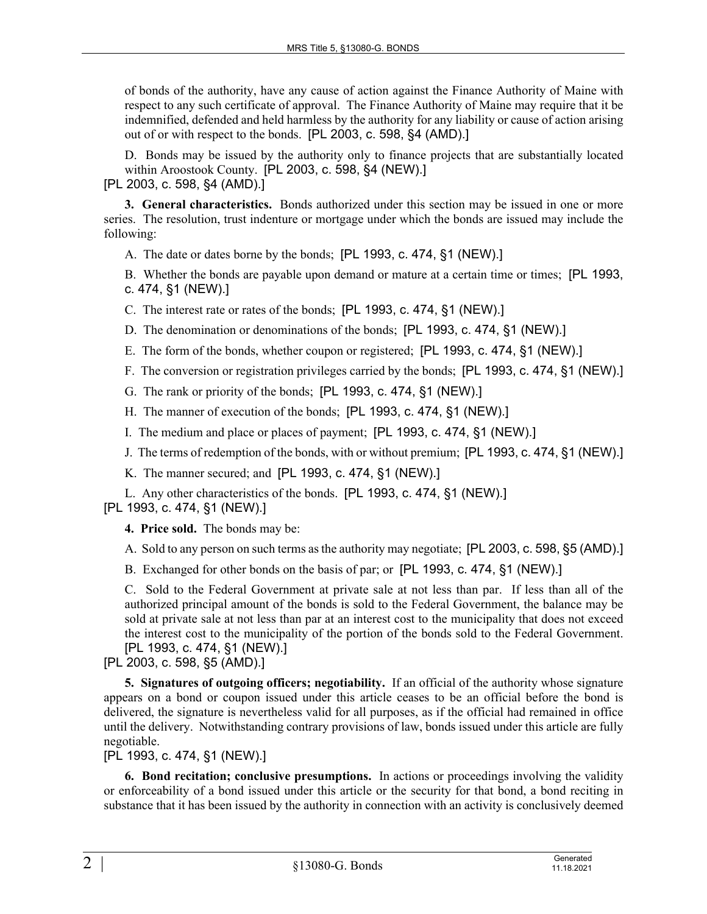of bonds of the authority, have any cause of action against the Finance Authority of Maine with respect to any such certificate of approval. The Finance Authority of Maine may require that it be indemnified, defended and held harmless by the authority for any liability or cause of action arising out of or with respect to the bonds. [PL 2003, c. 598, §4 (AMD).]

D. Bonds may be issued by the authority only to finance projects that are substantially located within Aroostook County. [PL 2003, c. 598, §4 (NEW).]

[PL 2003, c. 598, §4 (AMD).]

**3. General characteristics.** Bonds authorized under this section may be issued in one or more series. The resolution, trust indenture or mortgage under which the bonds are issued may include the following:

A. The date or dates borne by the bonds; [PL 1993, c. 474, §1 (NEW).]

B. Whether the bonds are payable upon demand or mature at a certain time or times; [PL 1993, c. 474, §1 (NEW).]

C. The interest rate or rates of the bonds; [PL 1993, c. 474, §1 (NEW).]

D. The denomination or denominations of the bonds; [PL 1993, c. 474, §1 (NEW).]

E. The form of the bonds, whether coupon or registered; [PL 1993, c. 474, §1 (NEW).]

F. The conversion or registration privileges carried by the bonds; [PL 1993, c. 474, §1 (NEW).]

G. The rank or priority of the bonds; [PL 1993, c. 474, §1 (NEW).]

H. The manner of execution of the bonds; [PL 1993, c. 474, §1 (NEW).]

I. The medium and place or places of payment; [PL 1993, c. 474, §1 (NEW).]

J. The terms of redemption of the bonds, with or without premium; [PL 1993, c. 474, §1 (NEW).]

K. The manner secured; and [PL 1993, c. 474, §1 (NEW).]

L. Any other characteristics of the bonds. [PL 1993, c. 474, §1 (NEW).]

[PL 1993, c. 474, §1 (NEW).]

**4. Price sold.** The bonds may be:

A. Sold to any person on such terms as the authority may negotiate; [PL 2003, c. 598, §5 (AMD).]

B. Exchanged for other bonds on the basis of par; or [PL 1993, c. 474, §1 (NEW).]

C. Sold to the Federal Government at private sale at not less than par. If less than all of the authorized principal amount of the bonds is sold to the Federal Government, the balance may be sold at private sale at not less than par at an interest cost to the municipality that does not exceed the interest cost to the municipality of the portion of the bonds sold to the Federal Government. [PL 1993, c. 474, §1 (NEW).]

[PL 2003, c. 598, §5 (AMD).]

**5. Signatures of outgoing officers; negotiability.** If an official of the authority whose signature appears on a bond or coupon issued under this article ceases to be an official before the bond is delivered, the signature is nevertheless valid for all purposes, as if the official had remained in office until the delivery. Notwithstanding contrary provisions of law, bonds issued under this article are fully negotiable.

[PL 1993, c. 474, §1 (NEW).]

**6. Bond recitation; conclusive presumptions.** In actions or proceedings involving the validity or enforceability of a bond issued under this article or the security for that bond, a bond reciting in substance that it has been issued by the authority in connection with an activity is conclusively deemed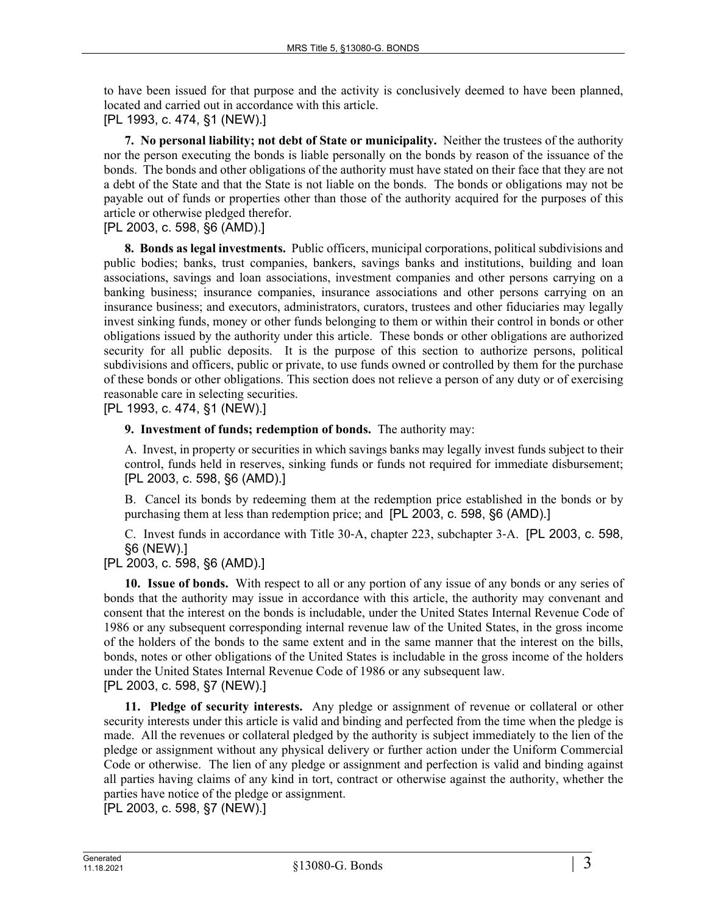to have been issued for that purpose and the activity is conclusively deemed to have been planned, located and carried out in accordance with this article.

[PL 1993, c. 474, §1 (NEW).]

**7. No personal liability; not debt of State or municipality.** Neither the trustees of the authority nor the person executing the bonds is liable personally on the bonds by reason of the issuance of the bonds. The bonds and other obligations of the authority must have stated on their face that they are not a debt of the State and that the State is not liable on the bonds. The bonds or obligations may not be payable out of funds or properties other than those of the authority acquired for the purposes of this article or otherwise pledged therefor.

## [PL 2003, c. 598, §6 (AMD).]

**8. Bonds as legal investments.** Public officers, municipal corporations, political subdivisions and public bodies; banks, trust companies, bankers, savings banks and institutions, building and loan associations, savings and loan associations, investment companies and other persons carrying on a banking business; insurance companies, insurance associations and other persons carrying on an insurance business; and executors, administrators, curators, trustees and other fiduciaries may legally invest sinking funds, money or other funds belonging to them or within their control in bonds or other obligations issued by the authority under this article. These bonds or other obligations are authorized security for all public deposits. It is the purpose of this section to authorize persons, political subdivisions and officers, public or private, to use funds owned or controlled by them for the purchase of these bonds or other obligations. This section does not relieve a person of any duty or of exercising reasonable care in selecting securities.

[PL 1993, c. 474, §1 (NEW).]

## **9. Investment of funds; redemption of bonds.** The authority may:

A. Invest, in property or securities in which savings banks may legally invest funds subject to their control, funds held in reserves, sinking funds or funds not required for immediate disbursement; [PL 2003, c. 598, §6 (AMD).]

B. Cancel its bonds by redeeming them at the redemption price established in the bonds or by purchasing them at less than redemption price; and [PL 2003, c. 598, §6 (AMD).]

C. Invest funds in accordance with Title 30‑A, chapter 223, subchapter 3‑A. [PL 2003, c. 598, §6 (NEW).]

[PL 2003, c. 598, §6 (AMD).]

**10. Issue of bonds.** With respect to all or any portion of any issue of any bonds or any series of bonds that the authority may issue in accordance with this article, the authority may convenant and consent that the interest on the bonds is includable, under the United States Internal Revenue Code of 1986 or any subsequent corresponding internal revenue law of the United States, in the gross income of the holders of the bonds to the same extent and in the same manner that the interest on the bills, bonds, notes or other obligations of the United States is includable in the gross income of the holders under the United States Internal Revenue Code of 1986 or any subsequent law. [PL 2003, c. 598, §7 (NEW).]

**11. Pledge of security interests.** Any pledge or assignment of revenue or collateral or other security interests under this article is valid and binding and perfected from the time when the pledge is made. All the revenues or collateral pledged by the authority is subject immediately to the lien of the pledge or assignment without any physical delivery or further action under the Uniform Commercial Code or otherwise. The lien of any pledge or assignment and perfection is valid and binding against all parties having claims of any kind in tort, contract or otherwise against the authority, whether the parties have notice of the pledge or assignment.

[PL 2003, c. 598, §7 (NEW).]